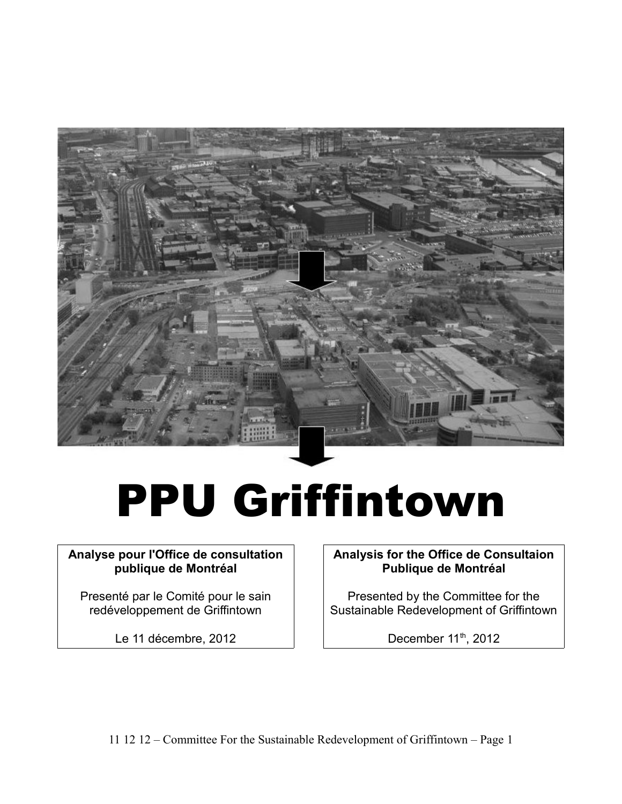

# PPU Griffintown

# **Analyse pour l'Office de consultation publique de Montréal**

Presenté par le Comité pour le sain redéveloppement de Griffintown

Le 11 décembre, 2012

**Analysis for the Office de Consultaion Publique de Montréal**

Presented by the Committee for the Sustainable Redevelopment of Griffintown

December 11<sup>th</sup>, 2012

11 12 12 – Committee For the Sustainable Redevelopment of Griffintown – Page 1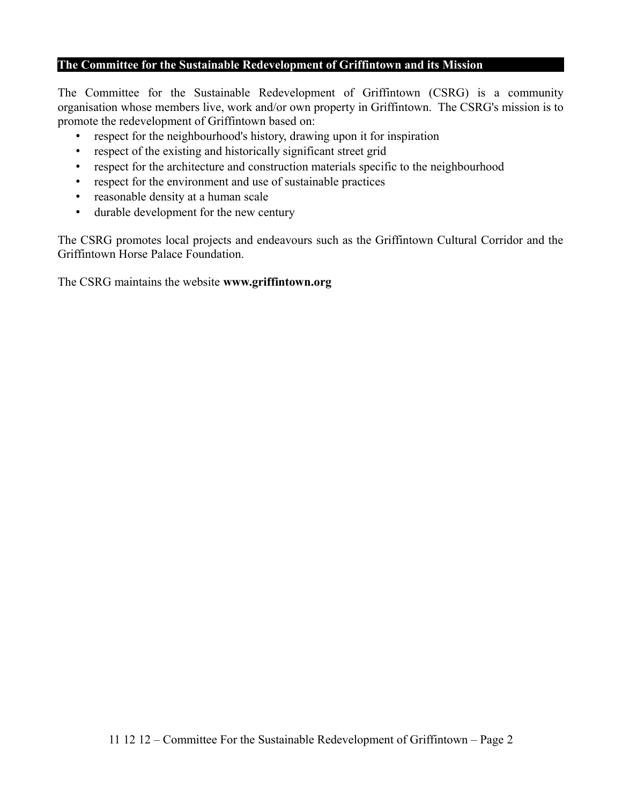### **The Committee for the Sustainable Redevelopment of Griffintown and its Mission**

The Committee for the Sustainable Redevelopment of Griffintown (CSRG) is a community organisation whose members live, work and/or own property in Griffintown. The CSRG's mission is to promote the redevelopment of Griffintown based on:

- respect for the neighbourhood's history, drawing upon it for inspiration
- respect of the existing and historically significant street grid
- respect for the architecture and construction materials specific to the neighbourhood
- respect for the environment and use of sustainable practices
- reasonable density at a human scale
- durable development for the new century

The CSRG promotes local projects and endeavours such as the Griffintown Cultural Corridor and the Griffintown Horse Palace Foundation.

The CSRG maintains the website **www.griffintown.org**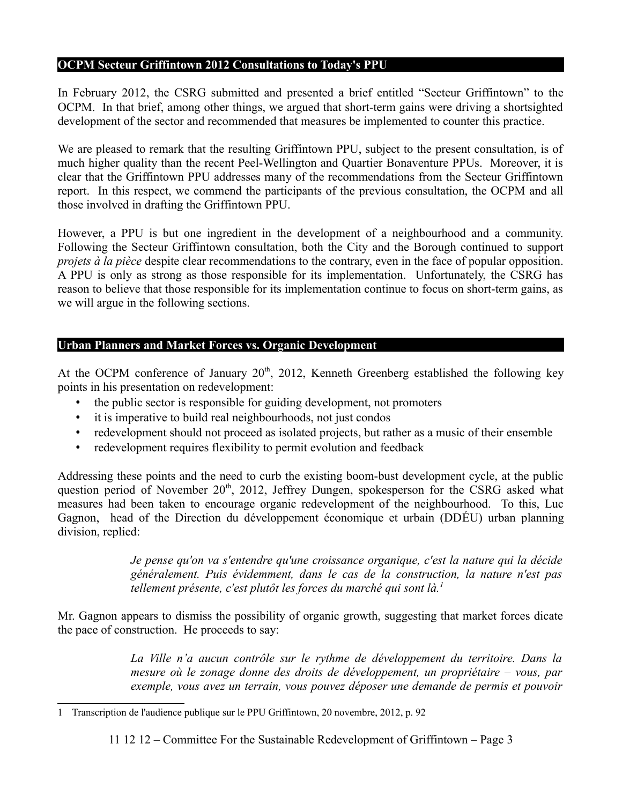### **OCPM Secteur Griffintown 2012 Consultations to Today's PPU**

In February 2012, the CSRG submitted and presented a brief entitled "Secteur Griffintown" to the OCPM. In that brief, among other things, we argued that short-term gains were driving a shortsighted development of the sector and recommended that measures be implemented to counter this practice.

We are pleased to remark that the resulting Griffintown PPU, subject to the present consultation, is of much higher quality than the recent Peel-Wellington and Quartier Bonaventure PPUs. Moreover, it is clear that the Griffintown PPU addresses many of the recommendations from the Secteur Griffintown report. In this respect, we commend the participants of the previous consultation, the OCPM and all those involved in drafting the Griffintown PPU.

However, a PPU is but one ingredient in the development of a neighbourhood and a community. Following the Secteur Griffintown consultation, both the City and the Borough continued to support *projets à la pièce* despite clear recommendations to the contrary, even in the face of popular opposition. A PPU is only as strong as those responsible for its implementation. Unfortunately, the CSRG has reason to believe that those responsible for its implementation continue to focus on short-term gains, as we will argue in the following sections.

## **Urban Planners and Market Forces vs. Organic Development**

At the OCPM conference of January  $20<sup>th</sup>$ , 2012, Kenneth Greenberg established the following key points in his presentation on redevelopment:

- the public sector is responsible for guiding development, not promoters
- it is imperative to build real neighbourhoods, not just condos
- redevelopment should not proceed as isolated projects, but rather as a music of their ensemble
- redevelopment requires flexibility to permit evolution and feedback

Addressing these points and the need to curb the existing boom-bust development cycle, at the public question period of November  $20<sup>th</sup>$ ,  $2012$ , Jeffrey Dungen, spokesperson for the CSRG asked what measures had been taken to encourage organic redevelopment of the neighbourhood. To this, Luc Gagnon, head of the Direction du développement économique et urbain (DDÉU) urban planning division, replied:

> *Je pense qu'on va s'entendre qu'une croissance organique, c'est la nature qui la décide généralement. Puis évidemment, dans le cas de la construction, la nature n'est pas tellement présente, c'est plutôt les forces du marché qui sont là.[1](#page-2-0)*

Mr. Gagnon appears to dismiss the possibility of organic growth, suggesting that market forces dicate the pace of construction. He proceeds to say:

> *La Ville n'a aucun contrôle sur le rythme de développement du territoire. Dans la mesure où le zonage donne des droits de développement, un propriétaire – vous, par exemple, vous avez un terrain, vous pouvez déposer une demande de permis et pouvoir*

11 12 12 – Committee For the Sustainable Redevelopment of Griffintown – Page 3

<span id="page-2-0"></span><sup>1</sup> Transcription de l'audience publique sur le PPU Griffintown, 20 novembre, 2012, p. 92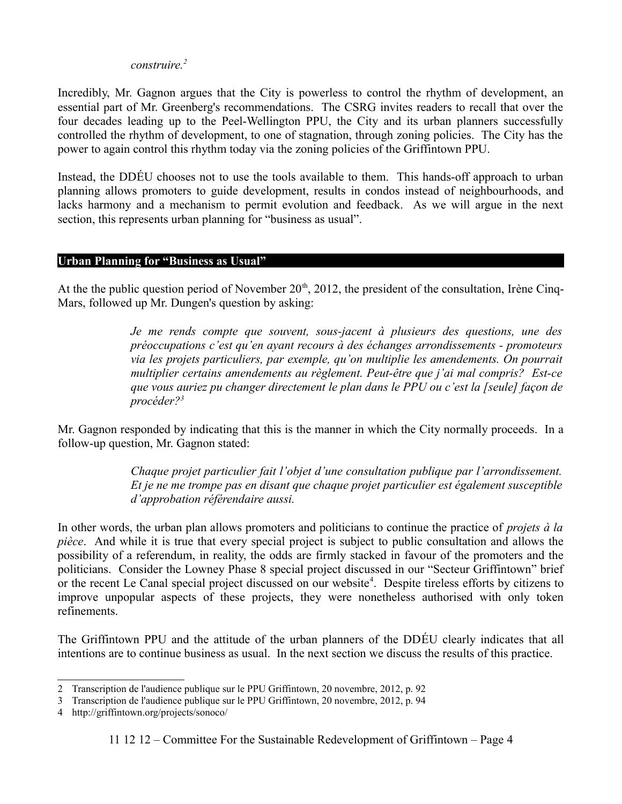### *construire.[2](#page-3-0)*

Incredibly, Mr. Gagnon argues that the City is powerless to control the rhythm of development, an essential part of Mr. Greenberg's recommendations. The CSRG invites readers to recall that over the four decades leading up to the Peel-Wellington PPU, the City and its urban planners successfully controlled the rhythm of development, to one of stagnation, through zoning policies. The City has the power to again control this rhythm today via the zoning policies of the Griffintown PPU.

Instead, the DDÉU chooses not to use the tools available to them. This hands-off approach to urban planning allows promoters to guide development, results in condos instead of neighbourhoods, and lacks harmony and a mechanism to permit evolution and feedback. As we will argue in the next section, this represents urban planning for "business as usual".

#### **Urban Planning for "Business as Usual"**

At the the public question period of November  $20<sup>th</sup>$ , 2012, the president of the consultation, Irène Cinq-Mars, followed up Mr. Dungen's question by asking:

> *Je me rends compte que souvent, sous-jacent à plusieurs des questions, une des préoccupations c'est qu'en ayant recours à des échanges arrondissements - promoteurs via les projets particuliers, par exemple, qu'on multiplie les amendements. On pourrait multiplier certains amendements au règlement. Peut-être que j'ai mal compris? Est-ce que vous auriez pu changer directement le plan dans le PPU ou c'est la [seule] façon de procéder?[3](#page-3-1)*

Mr. Gagnon responded by indicating that this is the manner in which the City normally proceeds. In a follow-up question, Mr. Gagnon stated:

> *Chaque projet particulier fait l'objet d'une consultation publique par l'arrondissement. Et je ne me trompe pas en disant que chaque projet particulier est également susceptible d'approbation référendaire aussi.*

In other words, the urban plan allows promoters and politicians to continue the practice of *projets à la pièce*. And while it is true that every special project is subject to public consultation and allows the possibility of a referendum, in reality, the odds are firmly stacked in favour of the promoters and the politicians. Consider the Lowney Phase 8 special project discussed in our "Secteur Griffintown" brief or the recent Le Canal special project discussed on our website<sup>[4](#page-3-2)</sup>. Despite tireless efforts by citizens to improve unpopular aspects of these projects, they were nonetheless authorised with only token refinements.

The Griffintown PPU and the attitude of the urban planners of the DDÉU clearly indicates that all intentions are to continue business as usual. In the next section we discuss the results of this practice.

<span id="page-3-0"></span><sup>2</sup> Transcription de l'audience publique sur le PPU Griffintown, 20 novembre, 2012, p. 92

<span id="page-3-1"></span><sup>3</sup> Transcription de l'audience publique sur le PPU Griffintown, 20 novembre, 2012, p. 94

<span id="page-3-2"></span><sup>4</sup> http://griffintown.org/projects/sonoco/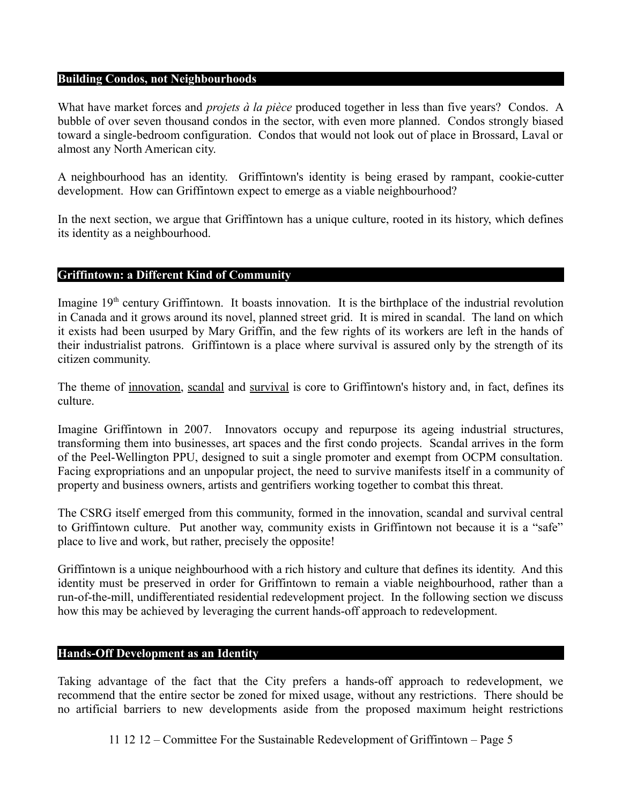#### **Building Condos, not Neighbourhoods**

What have market forces and *projets à la pièce* produced together in less than five years? Condos. A bubble of over seven thousand condos in the sector, with even more planned. Condos strongly biased toward a single-bedroom configuration. Condos that would not look out of place in Brossard, Laval or almost any North American city.

A neighbourhood has an identity. Griffintown's identity is being erased by rampant, cookie-cutter development. How can Griffintown expect to emerge as a viable neighbourhood?

In the next section, we argue that Griffintown has a unique culture, rooted in its history, which defines its identity as a neighbourhood.

#### **Griffintown: a Different Kind of Community**

Imagine  $19<sup>th</sup>$  century Griffintown. It boasts innovation. It is the birthplace of the industrial revolution in Canada and it grows around its novel, planned street grid. It is mired in scandal. The land on which it exists had been usurped by Mary Griffin, and the few rights of its workers are left in the hands of their industrialist patrons. Griffintown is a place where survival is assured only by the strength of its citizen community.

The theme of innovation, scandal and survival is core to Griffintown's history and, in fact, defines its culture.

Imagine Griffintown in 2007. Innovators occupy and repurpose its ageing industrial structures, transforming them into businesses, art spaces and the first condo projects. Scandal arrives in the form of the Peel-Wellington PPU, designed to suit a single promoter and exempt from OCPM consultation. Facing expropriations and an unpopular project, the need to survive manifests itself in a community of property and business owners, artists and gentrifiers working together to combat this threat.

The CSRG itself emerged from this community, formed in the innovation, scandal and survival central to Griffintown culture. Put another way, community exists in Griffintown not because it is a "safe" place to live and work, but rather, precisely the opposite!

Griffintown is a unique neighbourhood with a rich history and culture that defines its identity. And this identity must be preserved in order for Griffintown to remain a viable neighbourhood, rather than a run-of-the-mill, undifferentiated residential redevelopment project. In the following section we discuss how this may be achieved by leveraging the current hands-off approach to redevelopment.

#### **Hands-Off Development as an Identity**

Taking advantage of the fact that the City prefers a hands-off approach to redevelopment, we recommend that the entire sector be zoned for mixed usage, without any restrictions. There should be no artificial barriers to new developments aside from the proposed maximum height restrictions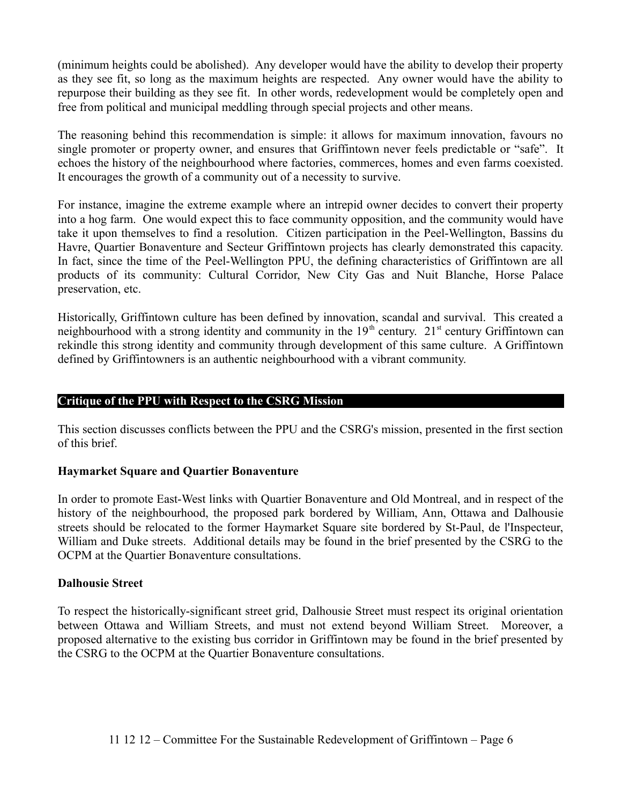(minimum heights could be abolished). Any developer would have the ability to develop their property as they see fit, so long as the maximum heights are respected. Any owner would have the ability to repurpose their building as they see fit. In other words, redevelopment would be completely open and free from political and municipal meddling through special projects and other means.

The reasoning behind this recommendation is simple: it allows for maximum innovation, favours no single promoter or property owner, and ensures that Griffintown never feels predictable or "safe". It echoes the history of the neighbourhood where factories, commerces, homes and even farms coexisted. It encourages the growth of a community out of a necessity to survive.

For instance, imagine the extreme example where an intrepid owner decides to convert their property into a hog farm. One would expect this to face community opposition, and the community would have take it upon themselves to find a resolution. Citizen participation in the Peel-Wellington, Bassins du Havre, Quartier Bonaventure and Secteur Griffintown projects has clearly demonstrated this capacity. In fact, since the time of the Peel-Wellington PPU, the defining characteristics of Griffintown are all products of its community: Cultural Corridor, New City Gas and Nuit Blanche, Horse Palace preservation, etc.

Historically, Griffintown culture has been defined by innovation, scandal and survival. This created a neighbourhood with a strong identity and community in the  $19<sup>th</sup>$  century.  $21<sup>st</sup>$  century Griffintown can rekindle this strong identity and community through development of this same culture. A Griffintown defined by Griffintowners is an authentic neighbourhood with a vibrant community.

## **Critique of the PPU with Respect to the CSRG Mission**

This section discusses conflicts between the PPU and the CSRG's mission, presented in the first section of this brief.

#### **Haymarket Square and Quartier Bonaventure**

In order to promote East-West links with Quartier Bonaventure and Old Montreal, and in respect of the history of the neighbourhood, the proposed park bordered by William, Ann, Ottawa and Dalhousie streets should be relocated to the former Haymarket Square site bordered by St-Paul, de l'Inspecteur, William and Duke streets. Additional details may be found in the brief presented by the CSRG to the OCPM at the Quartier Bonaventure consultations.

#### **Dalhousie Street**

To respect the historically-significant street grid, Dalhousie Street must respect its original orientation between Ottawa and William Streets, and must not extend beyond William Street. Moreover, a proposed alternative to the existing bus corridor in Griffintown may be found in the brief presented by the CSRG to the OCPM at the Quartier Bonaventure consultations.